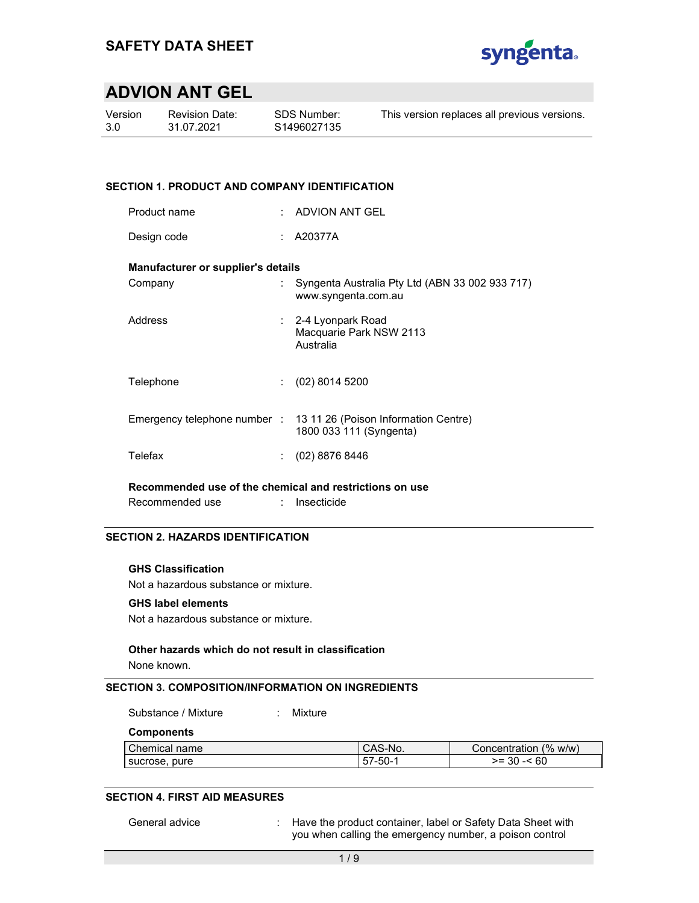

| Version |  |
|---------|--|
| 3.0     |  |

Revision Date: 31.07.2021

This version replaces all previous versions.

# SECTION 1. PRODUCT AND COMPANY IDENTIFICATION

| ADVION ANT GEL |
|----------------|
|                |

Design code : A20377A

### Manufacturer or supplier's details

| Company   | Syngenta Australia Pty Ltd (ABN 33 002 933 717)<br>www.syngenta.com.au                       |
|-----------|----------------------------------------------------------------------------------------------|
| Address   | $\therefore$ 2-4 Lyonpark Road<br>Macquarie Park NSW 2113<br>Australia                       |
| Telephone | (02) 8014 5200                                                                               |
|           | Emergency telephone number : 13 11 26 (Poison Information Centre)<br>1800 033 111 (Syngenta) |
| Telefax   | (02) 8876 8446                                                                               |

Recommended use of the chemical and restrictions on use

Recommended use : Insecticide

# SECTION 2. HAZARDS IDENTIFICATION

#### GHS Classification

Not a hazardous substance or mixture.

#### GHS label elements

Not a hazardous substance or mixture.

#### Other hazards which do not result in classification

None known.

#### SECTION 3. COMPOSITION/INFORMATION ON INGREDIENTS

Substance / Mixture : Mixture

**Components** 

| l Chemical name  | CAS-No. | Concentration $(\% w/w)$ |
|------------------|---------|--------------------------|
| pure<br>sucrose, | -50-1   | 60<br>>= 30 -<           |

# SECTION 4. FIRST AID MEASURES

General advice : : Have the product container, label or Safety Data Sheet with you when calling the emergency number, a poison control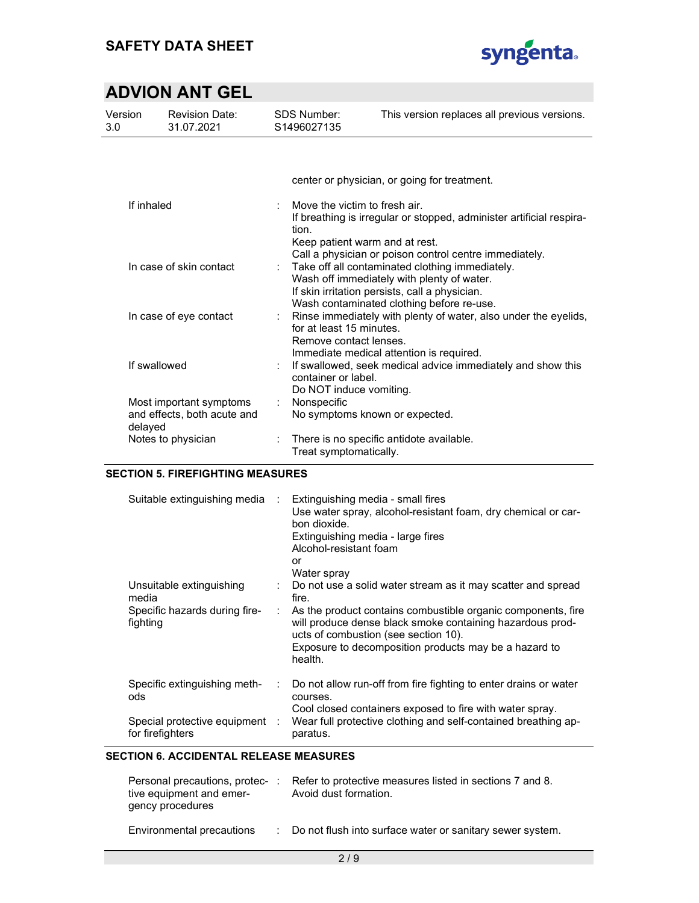

| Version<br>3.0 | <b>Revision Date:</b><br>31.07.2021                    | <b>SDS Number:</b><br>S1496027135                                             | This version replaces all previous versions.                                                                                                                                                 |
|----------------|--------------------------------------------------------|-------------------------------------------------------------------------------|----------------------------------------------------------------------------------------------------------------------------------------------------------------------------------------------|
|                |                                                        |                                                                               |                                                                                                                                                                                              |
|                |                                                        |                                                                               | center or physician, or going for treatment.                                                                                                                                                 |
| If inhaled     |                                                        | Move the victim to fresh air.<br>÷<br>tion.<br>Keep patient warm and at rest. | If breathing is irregular or stopped, administer artificial respira-<br>Call a physician or poison control centre immediately.                                                               |
|                | In case of skin contact                                |                                                                               | Take off all contaminated clothing immediately.<br>Wash off immediately with plenty of water.<br>If skin irritation persists, call a physician.<br>Wash contaminated clothing before re-use. |
|                | In case of eye contact                                 | for at least 15 minutes.<br>Remove contact lenses.                            | Rinse immediately with plenty of water, also under the eyelids,<br>Immediate medical attention is required.                                                                                  |
| If swallowed   |                                                        | container or label.<br>Do NOT induce vomiting.                                | If swallowed, seek medical advice immediately and show this                                                                                                                                  |
| delayed        | Most important symptoms<br>and effects, both acute and | Nonspecific                                                                   | No symptoms known or expected.                                                                                                                                                               |
|                | Notes to physician                                     | Treat symptomatically.                                                        | There is no specific antidote available.                                                                                                                                                     |

### SECTION 5. FIREFIGHTING MEASURES

| Suitable extinguishing media                       | $\mathcal{L}$                | Extinguishing media - small fires<br>Use water spray, alcohol-resistant foam, dry chemical or car-<br>bon dioxide.<br>Extinguishing media - large fires<br>Alcohol-resistant foam<br>or<br>Water spray                                |
|----------------------------------------------------|------------------------------|---------------------------------------------------------------------------------------------------------------------------------------------------------------------------------------------------------------------------------------|
| Unsuitable extinguishing<br>media                  | $\mathcal{L}_{\mathrm{max}}$ | Do not use a solid water stream as it may scatter and spread<br>fire.                                                                                                                                                                 |
| Specific hazards during fire-<br>fighting          |                              | As the product contains combustible organic components, fire<br>will produce dense black smoke containing hazardous prod-<br>ucts of combustion (see section 10).<br>Exposure to decomposition products may be a hazard to<br>health. |
| Specific extinguishing meth-<br>ods                |                              | Do not allow run-off from fire fighting to enter drains or water<br>courses.                                                                                                                                                          |
| Special protective equipment :<br>for firefighters |                              | Cool closed containers exposed to fire with water spray.<br>Wear full protective clothing and self-contained breathing ap-<br>paratus.                                                                                                |

### SECTION 6. ACCIDENTAL RELEASE MEASURES

| Personal precautions, protec-:<br>tive equipment and emer-<br>gency procedures | Refer to protective measures listed in sections 7 and 8.<br>Avoid dust formation. |
|--------------------------------------------------------------------------------|-----------------------------------------------------------------------------------|
| Environmental precautions                                                      | : Do not flush into surface water or sanitary sewer system.                       |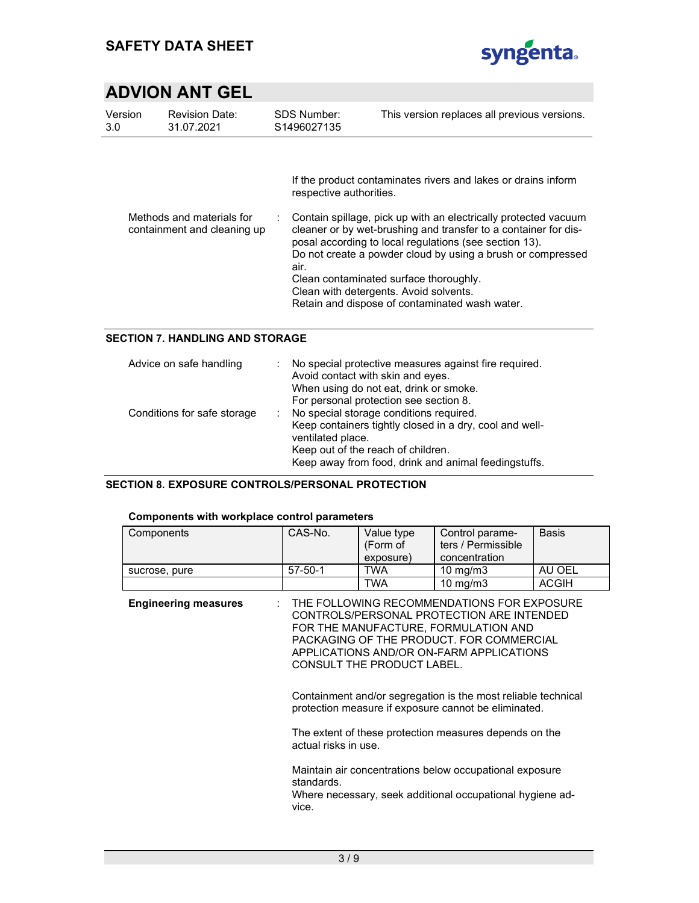

| Version<br>3.0 | <b>Revision Date:</b><br>31.07.2021                      | SDS Number:<br>S1496027135      | This version replaces all previous versions.                                                                                                                                                                                                                                                                                                                                                                                                                       |
|----------------|----------------------------------------------------------|---------------------------------|--------------------------------------------------------------------------------------------------------------------------------------------------------------------------------------------------------------------------------------------------------------------------------------------------------------------------------------------------------------------------------------------------------------------------------------------------------------------|
|                | Methods and materials for<br>containment and cleaning up | respective authorities.<br>air. | If the product contaminates rivers and lakes or drains inform<br>Contain spillage, pick up with an electrically protected vacuum<br>cleaner or by wet-brushing and transfer to a container for dis-<br>posal according to local regulations (see section 13).<br>Do not create a powder cloud by using a brush or compressed<br>Clean contaminated surface thoroughly.<br>Clean with detergents. Avoid solvents.<br>Retain and dispose of contaminated wash water. |

# SECTION 7. HANDLING AND STORAGE

| Advice on safe handling     | No special protective measures against fire required.<br>Avoid contact with skin and eyes.<br>When using do not eat, drink or smoke.                                                                                                                                  |
|-----------------------------|-----------------------------------------------------------------------------------------------------------------------------------------------------------------------------------------------------------------------------------------------------------------------|
| Conditions for safe storage | For personal protection see section 8.<br>No special storage conditions required.<br>÷.<br>Keep containers tightly closed in a dry, cool and well-<br>ventilated place.<br>Keep out of the reach of children.<br>Keep away from food, drink and animal feedingstuffs. |

# SECTION 8. EXPOSURE CONTROLS/PERSONAL PROTECTION

#### Components with workplace control parameters

| Components    | CAS-No.       | Value type<br>(Form of<br>exposure) | Control parame-<br>ters / Permissible<br>concentration | <b>Basis</b> |
|---------------|---------------|-------------------------------------|--------------------------------------------------------|--------------|
| sucrose, pure | $57 - 50 - 1$ | TWA                                 | 10 mg/m $3$                                            | AU OEL       |
|               |               | TWA                                 | 10 mg/m $3$                                            | <b>ACGIH</b> |

Engineering measures : THE FOLLOWING RECOMMENDATIONS FOR EXPOSURE CONTROLS/PERSONAL PROTECTION ARE INTENDED FOR THE MANUFACTURE, FORMULATION AND PACKAGING OF THE PRODUCT. FOR COMMERCIAL APPLICATIONS AND/OR ON-FARM APPLICATIONS CONSULT THE PRODUCT LABEL.

> Containment and/or segregation is the most reliable technical protection measure if exposure cannot be eliminated.

The extent of these protection measures depends on the actual risks in use.

Maintain air concentrations below occupational exposure standards. Where necessary, seek additional occupational hygiene advice.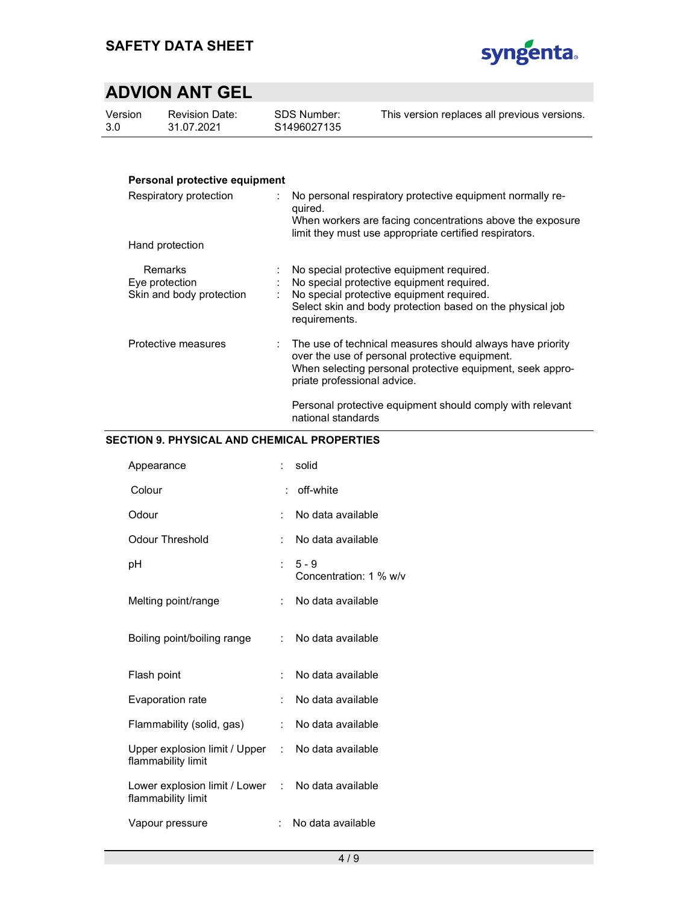

| Version | <b>Revision Date:</b> |
|---------|-----------------------|
| 3.0     | 31.07.2021            |

SDS Number: S1496027135 This version replaces all previous versions.

# Personal protective equipment

| Respiratory protection                                | No personal respiratory protective equipment normally re-<br>quired.<br>When workers are facing concentrations above the exposure<br>limit they must use appropriate certified respirators.                         |
|-------------------------------------------------------|---------------------------------------------------------------------------------------------------------------------------------------------------------------------------------------------------------------------|
| Hand protection                                       |                                                                                                                                                                                                                     |
| Remarks<br>Eye protection<br>Skin and body protection | No special protective equipment required.<br>No special protective equipment required.<br>: No special protective equipment required.<br>Select skin and body protection based on the physical job<br>requirements. |
| Protective measures                                   | : The use of technical measures should always have priority<br>over the use of personal protective equipment.<br>When selecting personal protective equipment, seek appro-<br>priate professional advice.           |
|                                                       | Personal protective equipment should comply with relevant<br>national standards                                                                                                                                     |

# SECTION 9. PHYSICAL AND CHEMICAL PROPERTIES

| Appearance                                                              | t.                        | solid                             |
|-------------------------------------------------------------------------|---------------------------|-----------------------------------|
| Colour                                                                  |                           | : off-white                       |
| Odour                                                                   | t.                        | No data available                 |
| Odour Threshold                                                         | t.                        | No data available                 |
| рH                                                                      | $\mathbb{R}^{\mathbb{Z}}$ | $5 - 9$<br>Concentration: 1 % w/v |
| Melting point/range                                                     | t.                        | No data available                 |
| Boiling point/boiling range                                             |                           | : No data available               |
| Flash point                                                             | ÷                         | No data available                 |
| Evaporation rate                                                        | ÷                         | No data available                 |
| Flammability (solid, gas)                                               | t.                        | No data available                 |
| Upper explosion limit / Upper : No data available<br>flammability limit |                           |                                   |
| Lower explosion limit / Lower : No data available<br>flammability limit |                           |                                   |
| Vapour pressure                                                         | ÷.                        | No data available                 |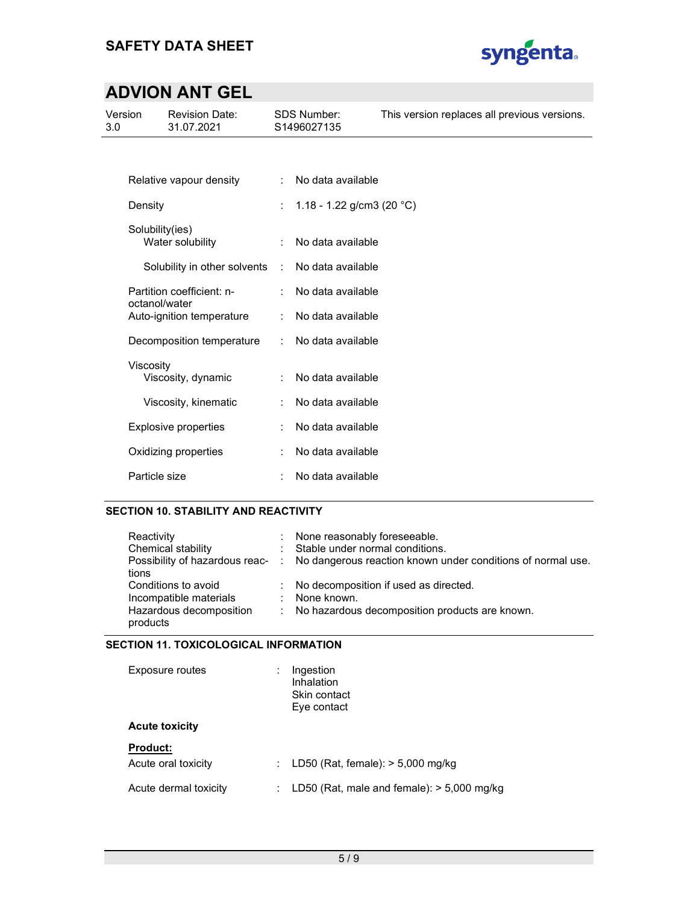

| Version<br>3.0 |                 | <b>Revision Date:</b><br>31.07.2021 | <b>SDS Number:</b><br>S1496027135 |                           | This version replaces all previous versions. |  |
|----------------|-----------------|-------------------------------------|-----------------------------------|---------------------------|----------------------------------------------|--|
|                |                 |                                     |                                   |                           |                                              |  |
|                |                 | Relative vapour density             | $\mathcal{L}$                     | No data available         |                                              |  |
|                | Density         |                                     |                                   | 1.18 - 1.22 g/cm3 (20 °C) |                                              |  |
|                | Solubility(ies) | Water solubility                    | ÷                                 | No data available         |                                              |  |
|                |                 | Solubility in other solvents        | $\ddot{\phantom{a}}$              | No data available         |                                              |  |
|                | octanol/water   | Partition coefficient: n-           |                                   | No data available         |                                              |  |
|                |                 | Auto-ignition temperature           | ÷                                 | No data available         |                                              |  |
|                |                 | Decomposition temperature           | ÷                                 | No data available         |                                              |  |
|                | Viscosity       | Viscosity, dynamic                  | ÷                                 | No data available         |                                              |  |
|                |                 | Viscosity, kinematic                |                                   | No data available         |                                              |  |
|                |                 | <b>Explosive properties</b>         |                                   | No data available         |                                              |  |
|                |                 | Oxidizing properties                |                                   | No data available         |                                              |  |
|                | Particle size   |                                     |                                   | No data available         |                                              |  |

# SECTION 10. STABILITY AND REACTIVITY

| Reactivity<br>Chemical stability<br>tions                                            |    | : None reasonably foreseeable.<br>: Stable under normal conditions.<br>Possibility of hazardous reac- : No dangerous reaction known under conditions of normal use. |
|--------------------------------------------------------------------------------------|----|---------------------------------------------------------------------------------------------------------------------------------------------------------------------|
| Conditions to avoid<br>Incompatible materials<br>Hazardous decomposition<br>products | ÷. | : No decomposition if used as directed.<br>None known.<br>: No hazardous decomposition products are known.                                                          |

# SECTION 11. TOXICOLOGICAL INFORMATION

| Exposure routes                 | Ingestion<br>Inhalation<br>Skin contact<br>Eye contact |
|---------------------------------|--------------------------------------------------------|
| <b>Acute toxicity</b>           |                                                        |
| Product:<br>Acute oral toxicity | LD50 (Rat, female): $>$ 5,000 mg/kg                    |
| Acute dermal toxicity           | LD50 (Rat, male and female): $>$ 5,000 mg/kg           |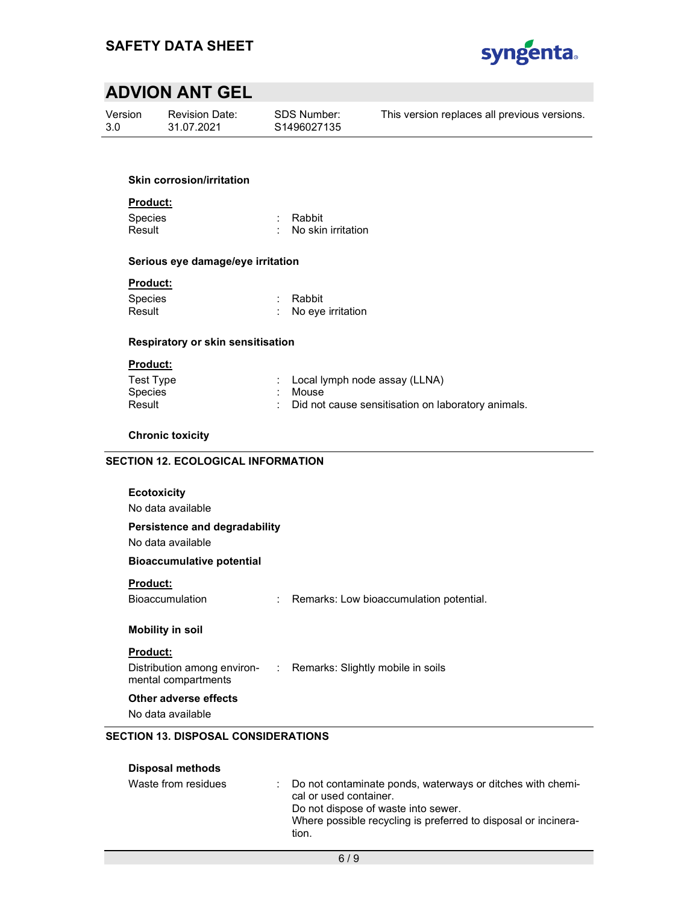

Version 3.0

Revision Date: 31.07.2021

SDS Number: S1496027135 This version replaces all previous versions.

### Skin corrosion/irritation

Product:

Species : Rabbit Result : No skin irritation

# Serious eye damage/eye irritation

# Product:

Species : Rabbit<br>
Result : No eve : No eye irritation

# Respiratory or skin sensitisation

# Product:

| Test Type | : Local lymph node assay (LLNA)                      |
|-----------|------------------------------------------------------|
| Species   | : Mouse                                              |
| Result    | : Did not cause sensitisation on laboratory animals. |

# Chronic toxicity

# SECTION 12. ECOLOGICAL INFORMATION

| <b>Ecotoxicity</b>                                 |                                                                 |
|----------------------------------------------------|-----------------------------------------------------------------|
| No data available                                  |                                                                 |
| Persistence and degradability<br>No data available |                                                                 |
| <b>Bioaccumulative potential</b>                   |                                                                 |
| <b>Product:</b><br><b>Bioaccumulation</b>          | : Remarks: Low bioaccumulation potential.                       |
| Mobility in soil                                   |                                                                 |
| <b>Product:</b><br>mental compartments             | Distribution among environ- : Remarks: Slightly mobile in soils |
| Other adverse effects<br>No data available         |                                                                 |
| <b>SECTION 13. DISPOSAL CONSIDERATIONS</b>         |                                                                 |

### Disposal methods

| Waste from residues | Do not contaminate ponds, waterways or ditches with chemi-<br>cal or used container.<br>Do not dispose of waste into sewer.<br>Where possible recycling is preferred to disposal or incinera-<br>tion. |
|---------------------|--------------------------------------------------------------------------------------------------------------------------------------------------------------------------------------------------------|
|                     |                                                                                                                                                                                                        |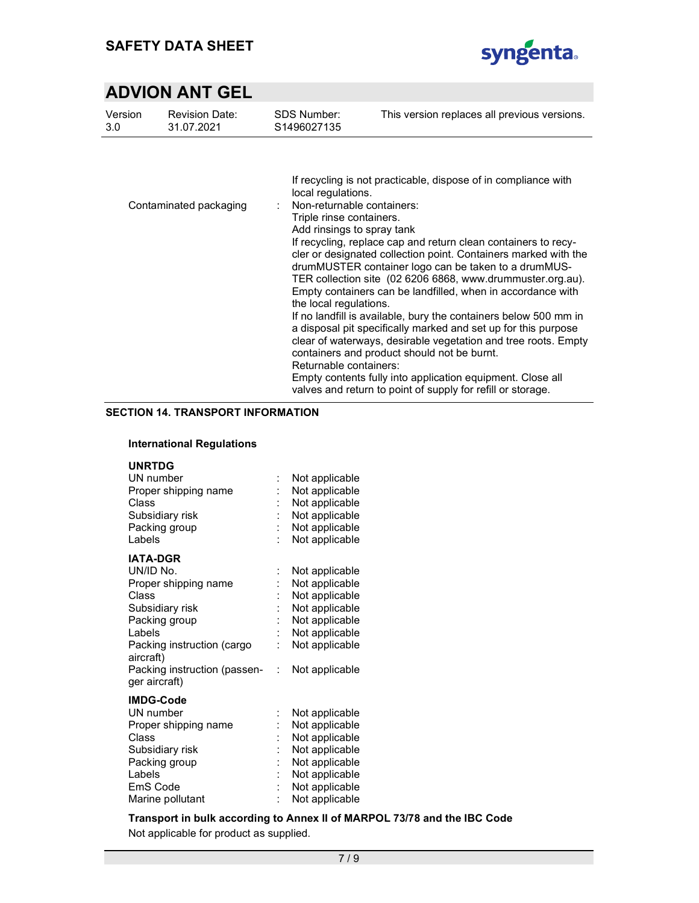

| Version | <b>Revision Date:</b>  | <b>SDS Number:</b>                                                                                                                                             | This version replaces all previous versions.                                                                                                                                                                                                                                                                                                                                                                                                                                                                                                                                                                                                                                                                                                                                 |
|---------|------------------------|----------------------------------------------------------------------------------------------------------------------------------------------------------------|------------------------------------------------------------------------------------------------------------------------------------------------------------------------------------------------------------------------------------------------------------------------------------------------------------------------------------------------------------------------------------------------------------------------------------------------------------------------------------------------------------------------------------------------------------------------------------------------------------------------------------------------------------------------------------------------------------------------------------------------------------------------------|
| 3.0     | 31.07.2021             | S1496027135                                                                                                                                                    |                                                                                                                                                                                                                                                                                                                                                                                                                                                                                                                                                                                                                                                                                                                                                                              |
|         | Contaminated packaging | local regulations.<br>Non-returnable containers:<br>Triple rinse containers.<br>Add rinsings to spray tank<br>the local regulations.<br>Returnable containers: | If recycling is not practicable, dispose of in compliance with<br>If recycling, replace cap and return clean containers to recy-<br>cler or designated collection point. Containers marked with the<br>drumMUSTER container logo can be taken to a drumMUS-<br>TER collection site (02 6206 6868, www.drummuster.org.au).<br>Empty containers can be landfilled, when in accordance with<br>If no landfill is available, bury the containers below 500 mm in<br>a disposal pit specifically marked and set up for this purpose<br>clear of waterways, desirable vegetation and tree roots. Empty<br>containers and product should not be burnt.<br>Empty contents fully into application equipment. Close all<br>valves and return to point of supply for refill or storage. |

### SECTION 14. TRANSPORT INFORMATION

### International Regulations

# UNRTDG

| UN number<br>Proper shipping name<br>Class<br>Subsidiary risk<br>Packing group                                                                         | $\ddot{\cdot}$<br>Ì. | Not applicable<br>Not applicable<br>Not applicable<br>Not applicable<br>Not applicable                                     |
|--------------------------------------------------------------------------------------------------------------------------------------------------------|----------------------|----------------------------------------------------------------------------------------------------------------------------|
| Labels                                                                                                                                                 | t                    | Not applicable                                                                                                             |
| <b>IATA-DGR</b><br>UN/ID No.<br>Proper shipping name<br>Class<br>Subsidiary risk<br>Packing group<br>Labels<br>Packing instruction (cargo<br>aircraft) | :<br>İ.<br>İ.        | Not applicable<br>Not applicable<br>Not applicable<br>Not applicable<br>Not applicable<br>Not applicable<br>Not applicable |
| Packing instruction (passen-<br>ger aircraft)                                                                                                          | ÷                    | Not applicable                                                                                                             |
| <b>IMDG-Code</b>                                                                                                                                       |                      |                                                                                                                            |
| UN number<br>Proper shipping name                                                                                                                      | :                    | Not applicable<br>Not applicable                                                                                           |
| Class                                                                                                                                                  |                      | Not applicable                                                                                                             |
| Subsidiary risk                                                                                                                                        | $\ddot{\cdot}$       | Not applicable                                                                                                             |
| Packing group<br>Labels<br>EmS Code                                                                                                                    | İ.<br>İ              | Not applicable<br>Not applicable<br>Not applicable                                                                         |
|                                                                                                                                                        |                      |                                                                                                                            |

Marine pollutant : Not applicable

Transport in bulk according to Annex II of MARPOL 73/78 and the IBC Code Not applicable for product as supplied.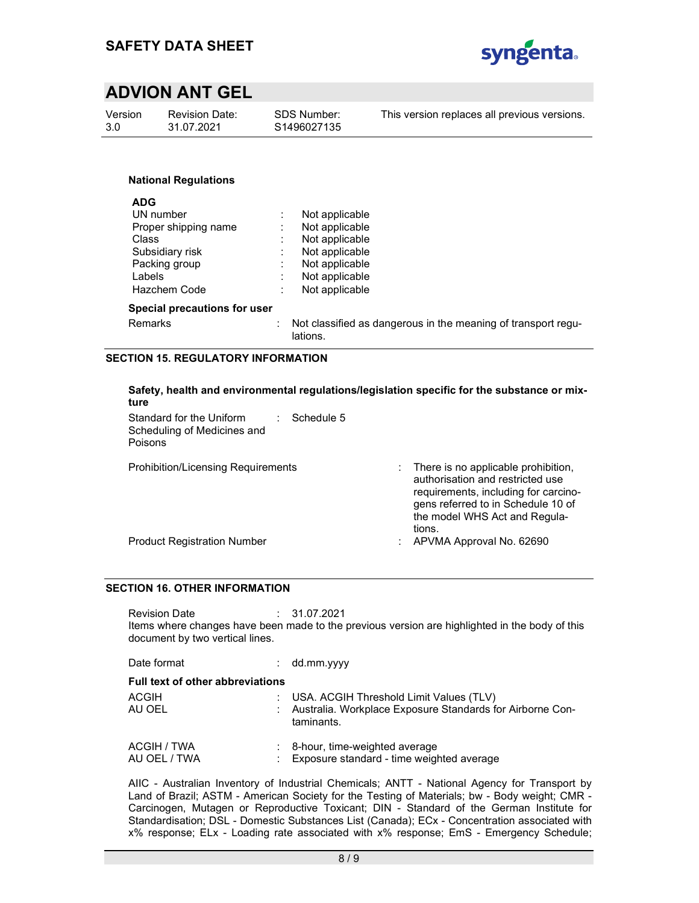

| Version<br>3.0 | SDS Number:<br><b>Revision Date:</b><br>31.07.2021<br>S1496027135 |  | This version replaces all previous versions. |  |  |
|----------------|-------------------------------------------------------------------|--|----------------------------------------------|--|--|
|                | <b>National Regulations</b>                                       |  |                                              |  |  |

| <b>ADG</b>                   |    |                                                                           |
|------------------------------|----|---------------------------------------------------------------------------|
| UN number                    |    | Not applicable                                                            |
| Proper shipping name         |    | Not applicable                                                            |
| Class                        |    | Not applicable                                                            |
| Subsidiary risk              |    | Not applicable                                                            |
| Packing group                |    | Not applicable                                                            |
| Labels                       | ٠  | Not applicable                                                            |
| <b>Hazchem Code</b>          |    | Not applicable                                                            |
| Special precautions for user |    |                                                                           |
| Remarks                      | ÷. | Not classified as dangerous in the meaning of transport regu-<br>lations. |

### SECTION 15. REGULATORY INFORMATION

| ture                                                               |                  |   | Safety, health and environmental regulations/legislation specific for the substance or mix-                                                                                                      |
|--------------------------------------------------------------------|------------------|---|--------------------------------------------------------------------------------------------------------------------------------------------------------------------------------------------------|
| Standard for the Uniform<br>Scheduling of Medicines and<br>Poisons | Schedule 5<br>÷. |   |                                                                                                                                                                                                  |
| <b>Prohibition/Licensing Requirements</b>                          |                  |   | There is no applicable prohibition,<br>authorisation and restricted use<br>requirements, including for carcino-<br>gens referred to in Schedule 10 of<br>the model WHS Act and Regula-<br>tions. |
| <b>Product Registration Number</b>                                 |                  | ÷ | APVMA Approval No. 62690                                                                                                                                                                         |
|                                                                    |                  |   |                                                                                                                                                                                                  |

### SECTION 16. OTHER INFORMATION

Revision Date : 31.07.2021 Items where changes have been made to the previous version are highlighted in the body of this document by two vertical lines.

| Date format                             | dd.mm.yyyy                                                                                                             |
|-----------------------------------------|------------------------------------------------------------------------------------------------------------------------|
| <b>Full text of other abbreviations</b> |                                                                                                                        |
| <b>ACGIH</b><br>AU OEL                  | : USA. ACGIH Threshold Limit Values (TLV)<br>: Australia. Workplace Exposure Standards for Airborne Con-<br>taminants. |
| ACGIH / TWA<br>AU OEL / TWA             | 8-hour, time-weighted average<br>Exposure standard - time weighted average                                             |

AIIC - Australian Inventory of Industrial Chemicals; ANTT - National Agency for Transport by Land of Brazil; ASTM - American Society for the Testing of Materials; bw - Body weight; CMR -Carcinogen, Mutagen or Reproductive Toxicant; DIN - Standard of the German Institute for Standardisation; DSL - Domestic Substances List (Canada); ECx - Concentration associated with x% response; ELx - Loading rate associated with x% response; EmS - Emergency Schedule;